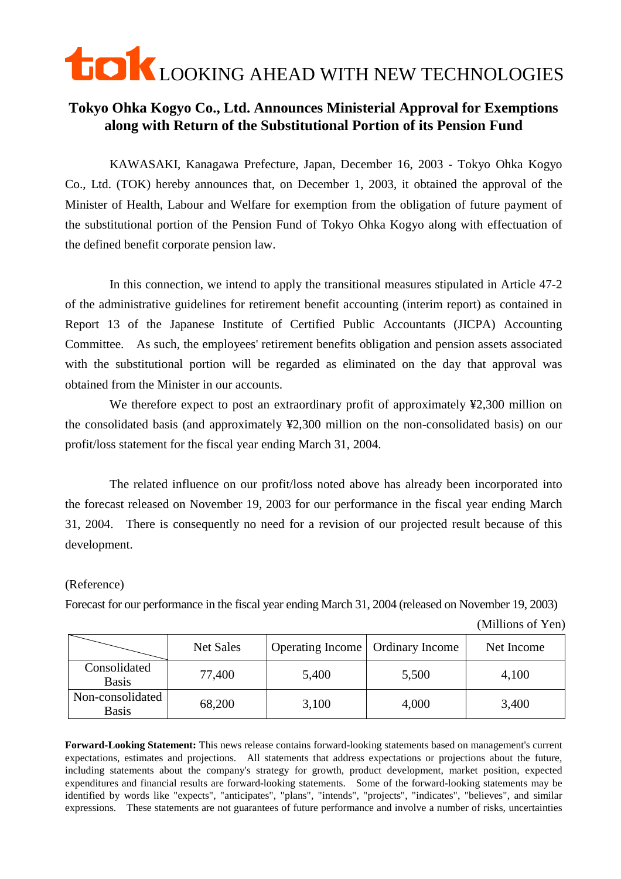## **LOOKING AHEAD WITH NEW TECHNOLOGIES**

## **Tokyo Ohka Kogyo Co., Ltd. Announces Ministerial Approval for Exemptions along with Return of the Substitutional Portion of its Pension Fund**

KAWASAKI, Kanagawa Prefecture, Japan, December 16, 2003 - Tokyo Ohka Kogyo Co., Ltd. (TOK) hereby announces that, on December 1, 2003, it obtained the approval of the Minister of Health, Labour and Welfare for exemption from the obligation of future payment of the substitutional portion of the Pension Fund of Tokyo Ohka Kogyo along with effectuation of the defined benefit corporate pension law.

In this connection, we intend to apply the transitional measures stipulated in Article 47-2 of the administrative guidelines for retirement benefit accounting (interim report) as contained in Report 13 of the Japanese Institute of Certified Public Accountants (JICPA) Accounting Committee. As such, the employees' retirement benefits obligation and pension assets associated with the substitutional portion will be regarded as eliminated on the day that approval was obtained from the Minister in our accounts.

We therefore expect to post an extraordinary profit of approximately ¥2,300 million on the consolidated basis (and approximately ¥2,300 million on the non-consolidated basis) on our profit/loss statement for the fiscal year ending March 31, 2004.

The related influence on our profit/loss noted above has already been incorporated into the forecast released on November 19, 2003 for our performance in the fiscal year ending March 31, 2004. There is consequently no need for a revision of our projected result because of this development.

## (Reference)

Forecast for our performance in the fiscal year ending March 31, 2004 (released on November 19, 2003)

(Millions of Yen)

|                                  | Net Sales | Operating Income   Ordinary Income |       | Net Income |
|----------------------------------|-----------|------------------------------------|-------|------------|
| Consolidated<br><b>Basis</b>     | 77,400    | 5,400                              | 5,500 | 4,100      |
| Non-consolidated<br><b>Basis</b> | 68,200    | 3,100                              | 4,000 | 3,400      |

**Forward-Looking Statement:** This news release contains forward-looking statements based on management's current expectations, estimates and projections. All statements that address expectations or projections about the future, including statements about the company's strategy for growth, product development, market position, expected expenditures and financial results are forward-looking statements. Some of the forward-looking statements may be identified by words like "expects", "anticipates", "plans", "intends", "projects", "indicates", "believes", and similar expressions. These statements are not guarantees of future performance and involve a number of risks, uncertainties